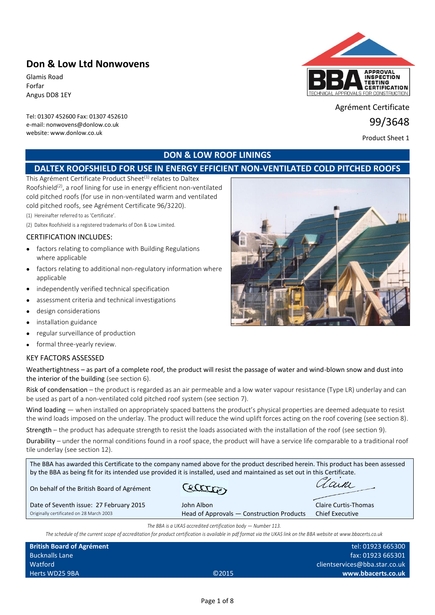# **Don & Low Ltd Nonwovens**

Glamis Road Forfar Angus DD8 1EY

Tel: 01307 452600 Fax: 01307 452610 e-mail: nonwovens@donlow.co.uk website: www.donlow.co.uk



Agrément Certificate

99/3648

Product Sheet 1

# **DON & LOW ROOF LININGS**

# **DALTEX ROOFSHIELD FOR USE IN ENERGY EFFICIENT NON-VENTILATED COLD PITCHED ROOFS**

This Agrément Certificate Product Sheet<sup>(1)</sup> relates to Daltex Roofshield<sup>(2)</sup>, a roof lining for use in energy efficient non-ventilated cold pitched roofs (for use in non-ventilated warm and ventilated cold pitched roofs, see Agrément Certificate 96/3220).

(1) Hereinafter referred to as 'Certificate'.

(2) Daltex Roofshield is a registered trademarks of Don & Low Limited.

## CERTIFICATION INCLUDES:

- factors relating to compliance with Building Regulations where applicable
- factors relating to additional non-regulatory information where applicable
- independently verified technical specification
- assessment criteria and technical investigations
- design considerations
- installation guidance
- regular surveillance of production
- formal three-yearly review.

## KEY FACTORS ASSESSED

| Weathertightness – as part of a complete roof, the product will resist the passage of water and wind-blown snow and dust into |
|-------------------------------------------------------------------------------------------------------------------------------|
| the interior of the building (see section 6).                                                                                 |

Risk of condensation – the product is regarded as an air permeable and a low water vapour resistance (Type LR) underlay and can be used as part of a non-ventilated cold pitched roof system (see section 7).

Wind loading — when installed on appropriately spaced battens the product's physical properties are deemed adequate to resist the wind loads imposed on the underlay. The product will reduce the wind uplift forces acting on the roof covering (see section 8).

Strength – the product has adequate strength to resist the loads associated with the installation of the roof (see section 9).

Durability – under the normal conditions found in a roof space, the product will have a service life comparable to a traditional roof tile underlay (see section 12).

| The BBA has awarded this Certificate to the company named above for the product described herein. This product has been assessed<br>by the BBA as being fit for its intended use provided it is installed, used and maintained as set out in this Certificate. |                                           |                             |  |
|----------------------------------------------------------------------------------------------------------------------------------------------------------------------------------------------------------------------------------------------------------------|-------------------------------------------|-----------------------------|--|
| On behalf of the British Board of Agrément                                                                                                                                                                                                                     | ettra                                     |                             |  |
| Date of Seventh issue: 27 February 2015                                                                                                                                                                                                                        | John Albon                                | <b>Claire Curtis-Thomas</b> |  |
| Originally certificated on 28 March 2003                                                                                                                                                                                                                       | Head of Approvals - Construction Products | <b>Chief Executive</b>      |  |
| The BBA is a UKAS accredited certification body $-$ Number 113.<br>The schedule of the current scope of accreditation for product certification is available in pdf format via the UKAS link on the BBA website at www.bbacerts.co.uk                          |                                           |                             |  |

| <b>British Board of Agrément</b> |                   | tel: 01923 665300             |
|----------------------------------|-------------------|-------------------------------|
| <b>Bucknalls Lane</b>            |                   | fax: 01923 665301             |
| Watford                          |                   | clientservices@bba.star.co.uk |
| Herts WD25 9BA                   | C <sub>2015</sub> | www.bbacerts.co.uk            |

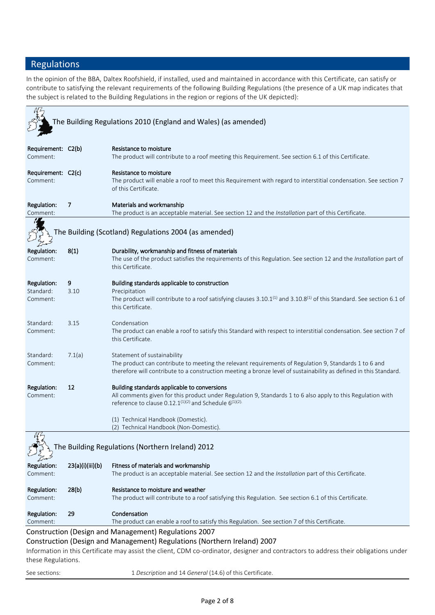# Regulations

In the opinion of the BBA, Daltex Roofshield, if installed, used and maintained in accordance with this Certificate, can satisfy or contribute to satisfying the relevant requirements of the following Building Regulations (the presence of a UK map indicates that the subject is related to the Building Regulations in the region or regions of the UK depicted):

|                                                         |                  | The Building Regulations 2010 (England and Wales) (as amended)                                                                                                                                                                                            |  |
|---------------------------------------------------------|------------------|-----------------------------------------------------------------------------------------------------------------------------------------------------------------------------------------------------------------------------------------------------------|--|
| Requirement: C2(b)<br>Comment:                          |                  | Resistance to moisture<br>The product will contribute to a roof meeting this Requirement. See section 6.1 of this Certificate.                                                                                                                            |  |
| Requirement: C2(c)<br>Comment:                          |                  | Resistance to moisture<br>The product will enable a roof to meet this Requirement with regard to interstitial condensation. See section 7<br>of this Certificate.                                                                                         |  |
| Regulation:<br>Comment:                                 | 7                | Materials and workmanship<br>The product is an acceptable material. See section 12 and the Installation part of this Certificate.                                                                                                                         |  |
|                                                         |                  | The Building (Scotland) Regulations 2004 (as amended)                                                                                                                                                                                                     |  |
| Regulation:<br>Comment:                                 | 8(1)             | Durability, workmanship and fitness of materials<br>The use of the product satisfies the requirements of this Regulation. See section 12 and the Installation part of<br>this Certificate.                                                                |  |
| Regulation:<br>Standard:                                | 9<br>3.10        | Building standards applicable to construction<br>Precipitation                                                                                                                                                                                            |  |
| Comment:                                                |                  | The product will contribute to a roof satisfying clauses $3.10.1^{(1)}$ and $3.10.8^{(1)}$ of this Standard. See section 6.1 of<br>this Certificate.                                                                                                      |  |
| Standard:<br>Comment:                                   | 3.15             | Condensation<br>The product can enable a roof to satisfy this Standard with respect to interstitial condensation. See section 7 of<br>this Certificate.                                                                                                   |  |
| Standard:<br>Comment:                                   | 7.1(a)           | Statement of sustainability<br>The product can contribute to meeting the relevant requirements of Regulation 9, Standards 1 to 6 and<br>therefore will contribute to a construction meeting a bronze level of sustainability as defined in this Standard. |  |
| Regulation:<br>Comment:                                 | 12               | Building standards applicable to conversions<br>All comments given for this product under Regulation 9, Standards 1 to 6 also apply to this Regulation with<br>reference to clause $0.12.1^{(1)(2)}$ and Schedule $6^{(1)(2)}$ .                          |  |
|                                                         |                  | (1) Technical Handbook (Domestic).<br>(2) Technical Handbook (Non-Domestic).                                                                                                                                                                              |  |
| 052<br>The Building Regulations (Northern Ireland) 2012 |                  |                                                                                                                                                                                                                                                           |  |
| Regulation:<br>Comment:                                 | 23(a)(i)(iii)(b) | Fitness of materials and workmanship<br>The product is an acceptable material. See section 12 and the Installation part of this Certificate.                                                                                                              |  |
| Regulation:<br>Comment:                                 | 28(b)            | Resistance to moisture and weather<br>The product will contribute to a roof satisfying this Regulation. See section 6.1 of this Certificate.                                                                                                              |  |
| Regulation:<br>Comment:                                 | 29               | Condensation<br>The product can enable a roof to satisfy this Regulation. See section 7 of this Certificate.                                                                                                                                              |  |
|                                                         |                  | Construction (Design and Management) Regulations 2007                                                                                                                                                                                                     |  |
| these Regulations.                                      |                  | Construction (Design and Management) Regulations (Northern Ireland) 2007<br>Information in this Certificate may assist the client, CDM co-ordinator, designer and contractors to address their obligations under                                          |  |
| See sections:                                           |                  | 1 Description and 14 General (14.6) of this Certificate.                                                                                                                                                                                                  |  |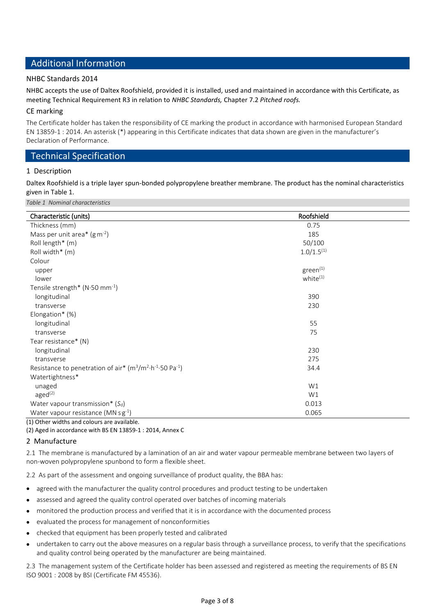# Additional Information

## NHBC Standards 2014

NHBC accepts the use of Daltex Roofshield, provided it is installed, used and maintained in accordance with this Certificate, as meeting Technical Requirement R3 in relation to *NHBC Standards,* Chapter 7.2 *Pitched roofs.*

## CE marking

The Certificate holder has taken the responsibility of CE marking the product in accordance with harmonised European Standard EN 13859-1 : 2014. An asterisk (\*) appearing in this Certificate indicates that data shown are given in the manufacturer's Declaration of Performance.

# Technical Specification

## 1 Description

Daltex Roofshield is a triple layer spun-bonded polypropylene breather membrane. The product has the nominal characteristics given in Table 1.

*Table 1 Nominal characteristics*

| Roofshield           |  |
|----------------------|--|
| 0.75                 |  |
| 185                  |  |
| 50/100               |  |
| $1.0/1.5^{(1)}$      |  |
|                      |  |
| green <sup>(1)</sup> |  |
| white <sup>(1)</sup> |  |
|                      |  |
| 390                  |  |
| 230                  |  |
|                      |  |
| 55                   |  |
| 75                   |  |
|                      |  |
| 230                  |  |
| 275                  |  |
| 34.4                 |  |
|                      |  |
| W1                   |  |
| W1                   |  |
| 0.013                |  |
| 0.065                |  |
|                      |  |

(1) Other widths and colours are available.

(2) Aged in accordance with BS EN 13859-1 : 2014, Annex C

## 2 Manufacture

2.1 The membrane is manufactured by a lamination of an air and water vapour permeable membrane between two layers of non-woven polypropylene spunbond to form a flexible sheet.

2.2 As part of the assessment and ongoing surveillance of product quality, the BBA has:

- agreed with the manufacturer the quality control procedures and product testing to be undertaken
- assessed and agreed the quality control operated over batches of incoming materials
- monitored the production process and verified that it is in accordance with the documented process
- evaluated the process for management of nonconformities
- checked that equipment has been properly tested and calibrated
- undertaken to carry out the above measures on a regular basis through a surveillance process, to verify that the specifications and quality control being operated by the manufacturer are being maintained.

2.3 The management system of the Certificate holder has been assessed and registered as meeting the requirements of BS EN ISO 9001 : 2008 by BSI (Certificate FM 45536).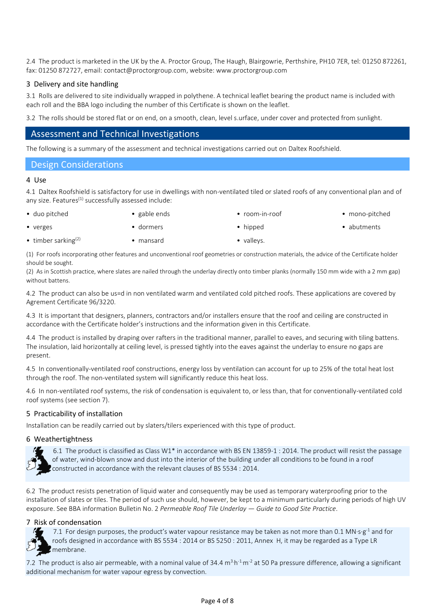2.4 The product is marketed in the UK by the A. Proctor Group, The Haugh, Blairgowrie, Perthshire, PH10 7ER, tel: 01250 872261, fax: 01250 872727, email: contact@proctorgroup.com, website: www.proctorgroup.com

## 3 Delivery and site handling

3.1 Rolls are delivered to site individually wrapped in polythene. A technical leaflet bearing the product name is included with each roll and the BBA logo including the number of this Certificate is shown on the leaflet.

3.2 The rolls should be stored flat or on end, on a smooth, clean, level s.urface, under cover and protected from sunlight.

## Assessment and Technical Investigations

The following is a summary of the assessment and technical investigations carried out on Daltex Roofshield.

## Design Considerations

#### 4 Use

4.1 Daltex Roofshield is satisfactory for use in dwellings with non-ventilated tiled or slated roofs of any conventional plan and of any size. Features $(1)$  successfully assessed include:

- 
- duo pitched gable ends room-in-roof mono-pitched
- 

- 
- 
- verges **e** dormers **• e** dormers **i** hipped **abutments**
- timber sarking<sup>(2)</sup> mansard mansard valleys.

(1) For roofs incorporating other features and unconventional roof geometries or construction materials, the advice of the Certificate holder should be sought.

(2) As in Scottish practice, where slates are nailed through the underlay directly onto timber planks (normally 150 mm wide with a 2 mm gap) without battens.

4.2 The product can also be us=d in non ventilated warm and ventilated cold pitched roofs. These applications are covered by Agrement Certificate 96/3220.

4.3 It is important that designers, planners, contractors and/or installers ensure that the roof and ceiling are constructed in accordance with the Certificate holder's instructions and the information given in this Certificate.

4.4 The product is installed by draping over rafters in the traditional manner, parallel to eaves, and securing with tiling battens. The insulation, laid horizontally at ceiling level, is pressed tightly into the eaves against the underlay to ensure no gaps are present.

4.5 In conventionally-ventilated roof constructions, energy loss by ventilation can account for up to 25% of the total heat lost through the roof. The non-ventilated system will significantly reduce this heat loss.

4.6 In non-ventilated roof systems, the risk of condensation is equivalent to, or less than, that for conventionally-ventilated cold roof systems (see section 7).

## 5 Practicability of installation

Installation can be readily carried out by slaters/tilers experienced with this type of product.

## 6 Weathertightness



 6.1 The product is classified as Class W1\* in accordance with BS EN 13859-1 : 2014. The product will resist the passage of water, wind-blown snow and dust into the interior of the building under all conditions to be found in a roof constructed in accordance with the relevant clauses of BS 5534 : 2014.

6.2 The product resists penetration of liquid water and consequently may be used as temporary waterproofing prior to the installation of slates or tiles. The period of such use should, however, be kept to a minimum particularly during periods of high UV exposure. See BBA information Bulletin No. 2 *Permeable Roof Tile Underlay — Guide to Good Site Practice*.

## 7 Risk of condensation

 7.1 For design purposes, the product's water vapour resistance may be taken as not more than 0.1 MN∙s∙g-1 and for roofs designed in accordance with BS 5534 : 2014 or BS 5250 : 2011, Annex H, it may be regarded as a Type LR membrane.

7.2 The product is also air permeable, with a nominal value of 34.4  $m^3 h^{-1} m^{-2}$  at 50 Pa pressure difference, allowing a significant additional mechanism for water vapour egress by convection.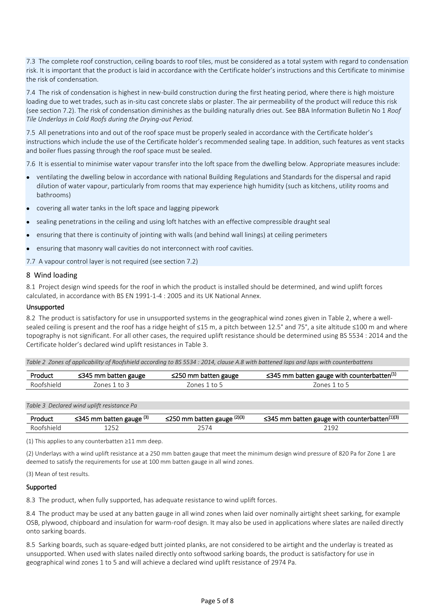7.3 The complete roof construction, ceiling boards to roof tiles, must be considered as a total system with regard to condensation risk. It is important that the product is laid in accordance with the Certificate holder's instructions and this Certificate to minimise the risk of condensation.

7.4 The risk of condensation is highest in new-build construction during the first heating period, where there is high moisture loading due to wet trades, such as in-situ cast concrete slabs or plaster. The air permeability of the product will reduce this risk (see section 7.2). The risk of condensation diminishes as the building naturally dries out. See BBA Information Bulletin No 1 *Roof Tile Underlays in Cold Roofs during the Drying-out Period.*

7.5 All penetrations into and out of the roof space must be properly sealed in accordance with the Certificate holder's instructions which include the use of the Certificate holder's recommended sealing tape. In addition, such features as vent stacks and boiler flues passing through the roof space must be sealed.

7.6 It is essential to minimise water vapour transfer into the loft space from the dwelling below. Appropriate measures include:

- ventilating the dwelling below in accordance with national Building Regulations and Standards for the dispersal and rapid dilution of water vapour, particularly from rooms that may experience high humidity (such as kitchens, utility rooms and bathrooms)
- covering all water tanks in the loft space and lagging pipework
- sealing penetrations in the ceiling and using loft hatches with an effective compressible draught seal
- ensuring that there is continuity of jointing with walls (and behind wall linings) at ceiling perimeters
- ensuring that masonry wall cavities do not interconnect with roof cavities.
- 7.7 A vapour control layer is not required (see section 7.2)

#### 8 Wind loading

8.1 Project design wind speeds for the roof in which the product is installed should be determined, and wind uplift forces calculated, in accordance with BS EN 1991-1-4 : 2005 and its UK National Annex.

#### Unsupported

8.2 The product is satisfactory for use in unsupported systems in the geographical wind zones given in Table 2, where a wellsealed ceiling is present and the roof has a ridge height of ≤15 m, a pitch between 12.5° and 75°, a site altitude ≤100 m and where topography is not significant. For all other cases, the required uplift resistance should be determined using BS 5534 : 2014 and the Certificate holder's declared wind uplift resistances in Table 3.

*Table 2 Zones of applicability of Roofshield according to BS 5534 : 2014, clause A.8 with battened laps and laps with counterbattens*

| Product    | $\leq$ 345 mm batten gauge | $\leq$ 250 mm batten gauge | $\leq$ 345 mm batten gauge with counterbatten <sup>(1)</sup> |
|------------|----------------------------|----------------------------|--------------------------------------------------------------|
| Rootshield | ones.                      | ones <sup>.</sup><br>to 5  | to 5<br>/onesi                                               |

*Table 3 Declared wind uplift resistance Pa*

| Product    | $\leq$ 345 mm batten gauge (3) | batten gauge (2)(3)<br>$\leq$ 250 mm | $\leq$ 345 mm batten gauge with counterbatten <sup>(1)(3)</sup> |
|------------|--------------------------------|--------------------------------------|-----------------------------------------------------------------|
| Roofshield |                                |                                      | າາດ-                                                            |

(1) This applies to any counterbatten ≥11 mm deep.

(2) Underlays with a wind uplift resistance at a 250 mm batten gauge that meet the minimum design wind pressure of 820 Pa for Zone 1 are deemed to satisfy the requirements for use at 100 mm batten gauge in all wind zones.

(3) Mean of test results.

#### Supported

8.3 The product, when fully supported, has adequate resistance to wind uplift forces.

8.4 The product may be used at any batten gauge in all wind zones when laid over nominally airtight sheet sarking, for example OSB, plywood, chipboard and insulation for warm-roof design. It may also be used in applications where slates are nailed directly onto sarking boards.

8.5 Sarking boards, such as square-edged butt jointed planks, are not considered to be airtight and the underlay is treated as unsupported. When used with slates nailed directly onto softwood sarking boards, the product is satisfactory for use in geographical wind zones 1 to 5 and will achieve a declared wind uplift resistance of 2974 Pa.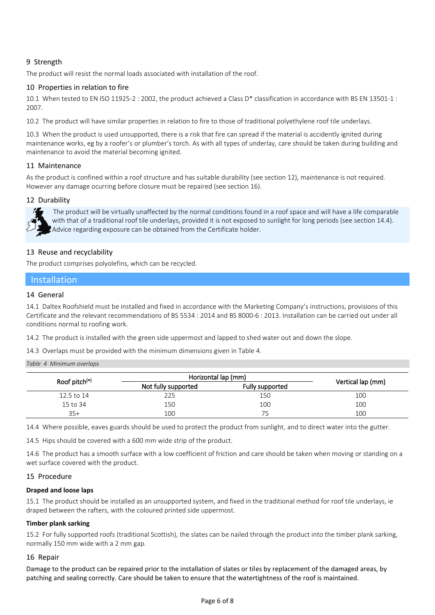## 9 Strength

The product will resist the normal loads associated with installation of the roof.

## 10 Properties in relation to fire

10.1 When tested to EN ISO 11925-2 : 2002, the product achieved a Class D\* classification in accordance with BS EN 13501-1 : 2007.

10.2 The product will have similar properties in relation to fire to those of traditional polyethylene roof tile underlays.

10.3 When the product is used unsupported, there is a risk that fire can spread if the material is accidently ignited during maintenance works, eg by a roofer's or plumber's torch. As with all types of underlay, care should be taken during building and maintenance to avoid the material becoming ignited.

## 11 Maintenance

As the product is confined within a roof structure and has suitable durability (see section 12), maintenance is not required. However any damage ocurring before closure must be repaired (see section 16).

## 12 Durability



 The product will be virtually unaffected by the normal conditions found in a roof space and will have a life comparable with that of a traditional roof tile underlays, provided it is not exposed to sunlight for long periods (see section 14.4). Advice regarding exposure can be obtained from the Certificate holder.

## 13 Reuse and recyclability

The product comprises polyolefins, which can be recycled.

## Installation

## 14 General

14.1 Daltex Roofshield must be installed and fixed in accordance with the Marketing Company's instructions, provisions of this Certificate and the relevant recommendations of BS 5534 : 2014 and BS 8000-6 : 2013. Installation can be carried out under all conditions normal to roofing work.

14.2 The product is installed with the green side uppermost and lapped to shed water out and down the slope.

14.3 Overlaps must be provided with the minimum dimensions given in Table 4.

#### *Table 4 Minimum overlaps*

| Roof pitch <sup>(°)</sup> | Horizontal lap (mm) |                 |                   |
|---------------------------|---------------------|-----------------|-------------------|
|                           | Not fully supported | Fully supported | Vertical lap (mm) |
| 12.5 to 14                | 225                 | 150             | 100               |
| 15 to 34                  | 150                 | 100             | 100               |
| $35+$                     | 100                 |                 | 100               |

14.4 Where possible, eaves guards should be used to protect the product from sunlight, and to direct water into the gutter.

14.5 Hips should be covered with a 600 mm wide strip of the product.

14.6 The product has a smooth surface with a low coefficient of friction and care should be taken when moving or standing on a wet surface covered with the product.

## 15 Procedure

## **Draped and loose laps**

15.1 The product should be installed as an unsupported system, and fixed in the traditional method for roof tile underlays, ie draped between the rafters, with the coloured printed side uppermost.

## **Timber plank sarking**

15.2 For fully supported roofs (traditional Scottish), the slates can be nailed through the product into the timber plank sarking, normally 150 mm wide with a 2 mm gap.

## 16 Repair

Damage to the product can be repaired prior to the installation of slates or tiles by replacement of the damaged areas, by patching and sealing correctly. Care should be taken to ensure that the watertightness of the roof is maintained.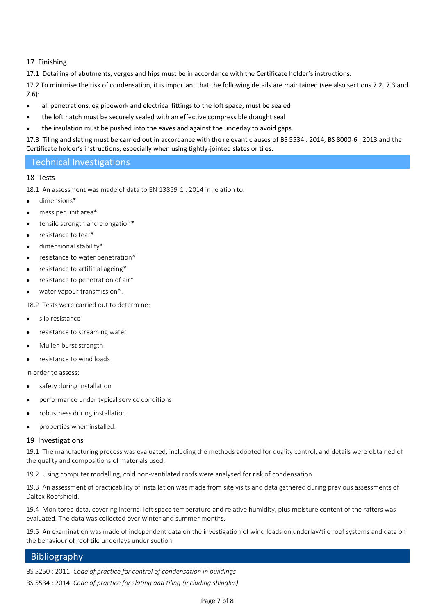## 17 Finishing

17.1 Detailing of abutments, verges and hips must be in accordance with the Certificate holder's instructions.

17.2 To minimise the risk of condensation, it is important that the following details are maintained (see also sections 7.2, 7.3 and 7.6):

- all penetrations, eg pipework and electrical fittings to the loft space, must be sealed
- the loft hatch must be securely sealed with an effective compressible draught seal
- the insulation must be pushed into the eaves and against the underlay to avoid gaps.

17.3 Tiling and slating must be carried out in accordance with the relevant clauses of BS 5534 : 2014, BS 8000-6 : 2013 and the Certificate holder's instructions, especially when using tightly-jointed slates or tiles.

## Technical Investigations

## 18 Tests

18.1 An assessment was made of data to EN 13859-1 : 2014 in relation to:

- dimensions\*
- mass per unit area\*
- tensile strength and elongation\*
- resistance to tear\*
- dimensional stability\*
- resistance to water penetration\*
- resistance to artificial ageing\*
- resistance to penetration of air\*
- water vapour transmission\*.

18.2 Tests were carried out to determine:

- slip resistance
- resistance to streaming water
- Mullen burst strength
- resistance to wind loads

in order to assess:

- safety during installation
- performance under typical service conditions
- robustness during installation
- properties when installed.

## 19 Investigations

19.1 The manufacturing process was evaluated, including the methods adopted for quality control, and details were obtained of the quality and compositions of materials used.

19.2 Using computer modelling, cold non-ventilated roofs were analysed for risk of condensation.

19.3 An assessment of practicability of installation was made from site visits and data gathered during previous assessments of Daltex Roofshield.

19.4 Monitored data, covering internal loft space temperature and relative humidity, plus moisture content of the rafters was evaluated. The data was collected over winter and summer months.

19.5 An examination was made of independent data on the investigation of wind loads on underlay/tile roof systems and data on the behaviour of roof tile underlays under suction.

## **Bibliography**

BS 5250 : 2011 *Code of practice for control of condensation in buildings* BS 5534 : 2014 *Code of practice for slating and tiling (including shingles)*